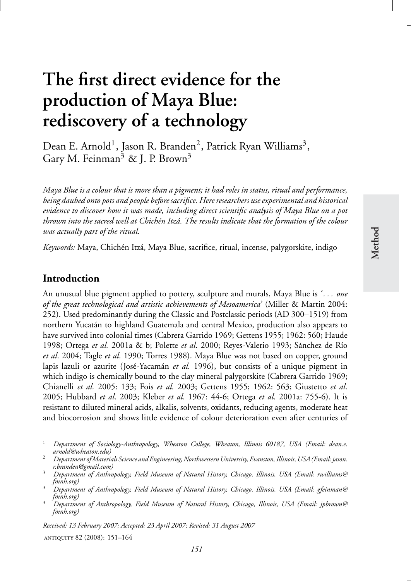# **production of Maya Blue: rediscovery of a technology**

**Method**

Dean E. Arnold<sup>1</sup>, Jason R. Branden<sup>2</sup>, Patrick Ryan Williams<sup>3</sup>, Gary M. Feinman<sup>3</sup> & J. P. Brown<sup>3</sup>

**The first direct evidence for the**

*Maya Blue is a colour that is more than a pigment; it had roles in status, ritual and performance, being daubed onto pots and people before sacrifice. Here researchers use experimental and historical evidence to discover how it was made, including direct scientific analysis of Maya Blue on a pot thrown into the sacred well at Chich´en Itza. The results indicate that the formation of the colour ´ was actually part of the ritual.*

*Keywords:* Maya, Chichén Itzá, Maya Blue, sacrifice, ritual, incense, palygorskite, indigo

## **Introduction**

An unusual blue pigment applied to pottery, sculpture and murals, Maya Blue is *' . . . one of the great technological and artistic achievements of Mesoamerica'* (Miller & Martin 2004: 252). Used predominantly during the Classic and Postclassic periods (AD 300–1519) from northern Yucatán to highland Guatemala and central Mexico, production also appears to have survived into colonial times (Cabrera Garrido 1969; Gettens 1955; 1962: 560; Haude 1998; Ortega *et al.* 2001a & b; Polette *et al.* 2000; Reyes-Valerio 1993; Sánchez de Río *et al*. 2004; Tagle *et al*. 1990; Torres 1988). Maya Blue was not based on copper, ground lapis lazuli or azurite (José-Yacamán *et al.* 1996), but consists of a unique pigment in which indigo is chemically bound to the clay mineral palygorskite (Cabrera Garrido 1969; Chianelli *et al.* 2005: 133; Fois *et al.* 2003; Gettens 1955; 1962: 563; Giustetto *et al*. 2005; Hubbard *et al*. 2003; Kleber *et al*. 1967: 44-6; Ortega *et al*. 2001a: 755-6). It is resistant to diluted mineral acids, alkalis, solvents, oxidants, reducing agents, moderate heat and biocorrosion and shows little evidence of colour deterioration even after centuries of

*151*

*Received: 13 February 2007; Accepted: 23 April 2007; Revised: 31 August 2007*

antiquity 82 (2008): 151–164

<sup>1</sup> *Department of Sociology-Anthropology, Wheaton College, Wheaton, Illinois 60187, USA (Email: dean.e.*

<sup>&</sup>lt;sup>2</sup> Department of Materials Science and Engineering, Northwestern University, Evanston, Illinois, USA (Email: jason.<br>1. branden@gmail.com)

<sup>&</sup>lt;sup>3</sup> *Department of Anthropology, Field Museum of Natural History, Chicago, Illinois, USA (Email: rwilliams@*<br>fmnh.org)

*fmnh.org)* <sup>3</sup> *Department of Anthropology, Field Museum of Natural History, Chicago, Illinois, USA (Email: gfeinman@*

*fmnh.org)* <sup>3</sup> *Department of Anthropology, Field Museum of Natural History, Chicago, Illinois, USA (Email: jpbrown@ fmnh.org)*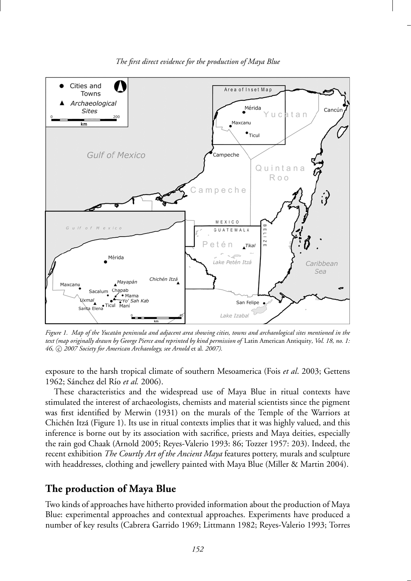

*The first direct evidence for the production of Maya Blue*

*Figure 1. Map of the Yucatan peninsula and adjacent area showing cities, towns and archaeological sites mentioned in the ´ text (map originally drawn by George Pierce and reprinted by kind permission of* Latin American Antiquity*, Vol. 18, no. 1:* 46, C 2007 Society for American Archaeology, see Arnold et al. 2007).

exposure to the harsh tropical climate of southern Mesoamerica (Fois *et al*. 2003; Gettens 1962; Sánchez del Río et al. 2006).

These characteristics and the widespread use of Maya Blue in ritual contexts have stimulated the interest of archaeologists, chemists and material scientists since the pigment was first identified by Merwin (1931) on the murals of the Temple of the Warriors at Chichén Itzá (Figure 1). Its use in ritual contexts implies that it was highly valued, and this inference is borne out by its association with sacrifice, priests and Maya deities, especially the rain god Chaak (Arnold 2005; Reyes-Valerio 1993: 86; Tozzer 1957: 203). Indeed, the recent exhibition *The Courtly Art of the Ancient Maya* features pottery, murals and sculpture with headdresses, clothing and jewellery painted with Maya Blue (Miller & Martin 2004).

## **The production of Maya Blue**

Two kinds of approaches have hitherto provided information about the production of Maya Blue: experimental approaches and contextual approaches. Experiments have produced a number of key results (Cabrera Garrido 1969; Littmann 1982; Reyes-Valerio 1993; Torres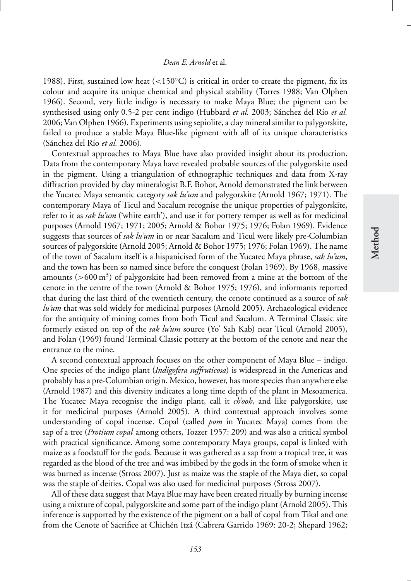### *Dean E. Arnold* et al.

1988). First, sustained low heat (<150 $\degree$ C) is critical in order to create the pigment, fix its colour and acquire its unique chemical and physical stability (Torres 1988; Van Olphen 1966). Second, very little indigo is necessary to make Maya Blue; the pigment can be synthesised using only 0.5-2 per cent indigo (Hubbard *et al.* 2003; Sánchez del Río *et al.* 2006; Van Olphen 1966). Experiments using sepiolite, a clay mineral similar to palygorskite, failed to produce a stable Maya Blue-like pigment with all of its unique characteristics (Sánchez del Río et al. 2006).

Contextual approaches to Maya Blue have also provided insight about its production. Data from the contemporary Maya have revealed probable sources of the palygorskite used in the pigment. Using a triangulation of ethnographic techniques and data from X-ray diffraction provided by clay mineralogist B.F. Bohor, Arnold demonstrated the link between the Yucatec Maya semantic category *sak lu'um* and palygorskite (Arnold 1967; 1971). The contemporary Maya of Ticul and Sacalum recognise the unique properties of palygorskite, refer to it as *sak lu'um* ('white earth'), and use it for pottery temper as well as for medicinal purposes (Arnold 1967; 1971; 2005; Arnold & Bohor 1975; 1976; Folan 1969). Evidence suggests that sources of *sak lu'um* in or near Sacalum and Ticul were likely pre-Columbian sources of palygorskite (Arnold 2005; Arnold & Bohor 1975; 1976; Folan 1969). The name of the town of Sacalum itself is a hispanicised form of the Yucatec Maya phrase, *sak lu'um*, and the town has been so named since before the conquest (Folan 1969). By 1968, massive amounts ( $>600 \text{ m}^3$ ) of palygorskite had been removed from a mine at the bottom of the cenote in the centre of the town (Arnold & Bohor 1975; 1976), and informants reported that during the last third of the twentieth century, the cenote continued as a source of *sak lu'um* that was sold widely for medicinal purposes (Arnold 2005). Archaeological evidence for the antiquity of mining comes from both Ticul and Sacalum. A Terminal Classic site formerly existed on top of the *sak lu'um* source (Yo' Sah Kab) near Ticul (Arnold 2005), and Folan (1969) found Terminal Classic pottery at the bottom of the cenote and near the entrance to the mine.

A second contextual approach focuses on the other component of Maya Blue – indigo. One species of the indigo plant (*Indigofera suffruticosa*) is widespread in the Americas and probably has a pre-Columbian origin. Mexico, however, has more species than anywhere else (Arnold 1987) and this diversity indicates a long time depth of the plant in Mesoamerica. The Yucatec Maya recognise the indigo plant, call it *ch'ooh*, and like palygorskite, use it for medicinal purposes (Arnold 2005). A third contextual approach involves some understanding of copal incense. Copal (called *pom* in Yucatec Maya) comes from the sap of a tree (*Protium copal* among others, Tozzer 1957: 209) and was also a critical symbol with practical significance. Among some contemporary Maya groups, copal is linked with maize as a foodstuff for the gods. Because it was gathered as a sap from a tropical tree, it was regarded as the blood of the tree and was imbibed by the gods in the form of smoke when it was burned as incense (Stross 2007). Just as maize was the staple of the Maya diet, so copal was the staple of deities. Copal was also used for medicinal purposes (Stross 2007).

All of these data suggest that Maya Blue may have been created ritually by burning incense using a mixture of copal, palygorskite and some part of the indigo plant (Arnold 2005). This inference is supported by the existence of the pigment on a ball of copal from Tikal and one from the Cenote of Sacrifice at Chichén Itzá (Cabrera Garrido 1969: 20-2; Shepard 1962;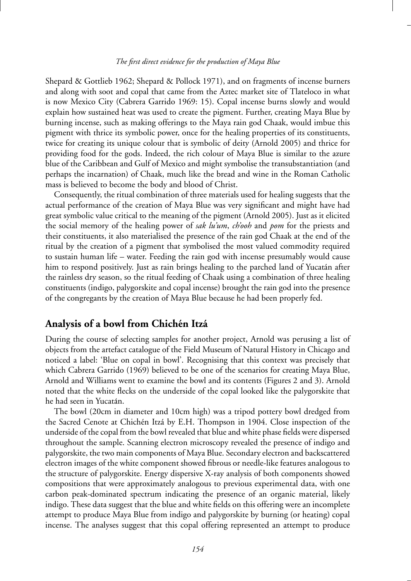#### *The first direct evidence for the production of Maya Blue*

Shepard & Gottlieb 1962; Shepard & Pollock 1971), and on fragments of incense burners and along with soot and copal that came from the Aztec market site of Tlateloco in what is now Mexico City (Cabrera Garrido 1969: 15). Copal incense burns slowly and would explain how sustained heat was used to create the pigment. Further, creating Maya Blue by burning incense, such as making offerings to the Maya rain god Chaak, would imbue this pigment with thrice its symbolic power, once for the healing properties of its constituents, twice for creating its unique colour that is symbolic of deity (Arnold 2005) and thrice for providing food for the gods. Indeed, the rich colour of Maya Blue is similar to the azure blue of the Caribbean and Gulf of Mexico and might symbolise the transubstantiation (and perhaps the incarnation) of Chaak, much like the bread and wine in the Roman Catholic mass is believed to become the body and blood of Christ.

Consequently, the ritual combination of three materials used for healing suggests that the actual performance of the creation of Maya Blue was very significant and might have had great symbolic value critical to the meaning of the pigment (Arnold 2005). Just as it elicited the social memory of the healing power of *sak lu'um*, *ch'ooh* and *pom* for the priests and their constituents, it also materialised the presence of the rain god Chaak at the end of the ritual by the creation of a pigment that symbolised the most valued commodity required to sustain human life – water. Feeding the rain god with incense presumably would cause him to respond positively. Just as rain brings healing to the parched land of Yucatán after the rainless dry season, so the ritual feeding of Chaak using a combination of three healing constituents (indigo, palygorskite and copal incense) brought the rain god into the presence of the congregants by the creation of Maya Blue because he had been properly fed.

## Analysis of a bowl from Chichén Itzá

During the course of selecting samples for another project, Arnold was perusing a list of objects from the artefact catalogue of the Field Museum of Natural History in Chicago and noticed a label: 'Blue on copal in bowl'. Recognising that this context was precisely that which Cabrera Garrido (1969) believed to be one of the scenarios for creating Maya Blue, Arnold and Williams went to examine the bowl and its contents (Figures 2 and 3). Arnold noted that the white flecks on the underside of the copal looked like the palygorskite that he had seen in Yucatán.

The bowl (20cm in diameter and 10cm high) was a tripod pottery bowl dredged from the Sacred Cenote at Chichén Itzá by E.H. Thompson in 1904. Close inspection of the underside of the copal from the bowl revealed that blue and white phase fields were dispersed throughout the sample. Scanning electron microscopy revealed the presence of indigo and palygorskite, the two main components of Maya Blue. Secondary electron and backscattered electron images of the white component showed fibrous or needle-like features analogous to the structure of palygorskite. Energy dispersive X-ray analysis of both components showed compositions that were approximately analogous to previous experimental data, with one carbon peak-dominated spectrum indicating the presence of an organic material, likely indigo. These data suggest that the blue and white fields on this offering were an incomplete attempt to produce Maya Blue from indigo and palygorskite by burning (or heating) copal incense. The analyses suggest that this copal offering represented an attempt to produce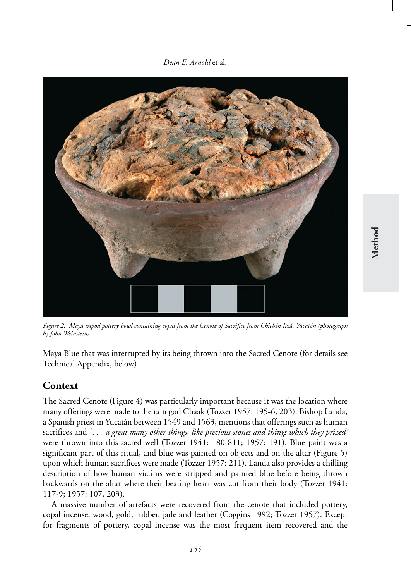*Dean E. Arnold* et al.



*Figure 2. Maya tripod pottery bowl containing copal from the Cenote of Sacrifice from Chich´en Itza, Yucat ´ an (photograph ´ by John Weinstein).*

Maya Blue that was interrupted by its being thrown into the Sacred Cenote (for details see Technical Appendix, below).

# **Context**

The Sacred Cenote (Figure 4) was particularly important because it was the location where many offerings were made to the rain god Chaak (Tozzer 1957: 195-6, 203). Bishop Landa, a Spanish priest in Yucatan between 1549 and 1563, mentions that offerings such as human ´ sacrifices and *'...* a great many other things, like precious stones and things which they prized' were thrown into this sacred well (Tozzer 1941: 180-811; 1957: 191). Blue paint was a significant part of this ritual, and blue was painted on objects and on the altar (Figure 5) upon which human sacrifices were made (Tozzer 1957: 211). Landa also provides a chilling description of how human victims were stripped and painted blue before being thrown backwards on the altar where their beating heart was cut from their body (Tozzer 1941: 117-9; 1957: 107, 203).

A massive number of artefacts were recovered from the cenote that included pottery, copal incense, wood, gold, rubber, jade and leather (Coggins 1992; Tozzer 1957). Except for fragments of pottery, copal incense was the most frequent item recovered and the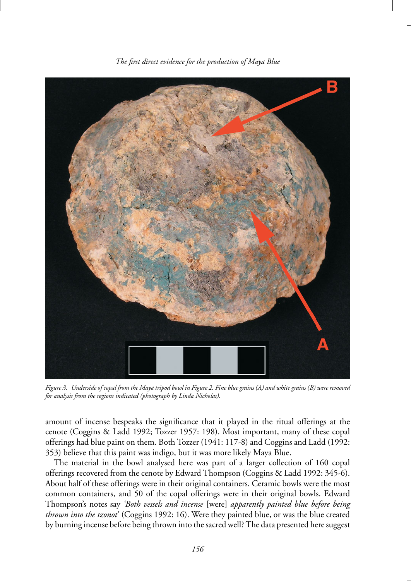

*The first direct evidence for the production of Maya Blue*

*Figure 3. Underside of copal from the Maya tripod bowl in Figure 2. Fine blue grains (A) and white grains (B) were removed for analysis from the regions indicated (photograph by Linda Nicholas).*

amount of incense bespeaks the significance that it played in the ritual offerings at the cenote (Coggins & Ladd 1992; Tozzer 1957: 198). Most important, many of these copal offerings had blue paint on them. Both Tozzer (1941: 117-8) and Coggins and Ladd (1992: 353) believe that this paint was indigo, but it was more likely Maya Blue.

The material in the bowl analysed here was part of a larger collection of 160 copal offerings recovered from the cenote by Edward Thompson (Coggins & Ladd 1992: 345-6). About half of these offerings were in their original containers. Ceramic bowls were the most common containers, and 50 of the copal offerings were in their original bowls. Edward Thompson's notes say *'Both vessels and incense* [were] *apparently painted blue before being thrown into the tzonot'* (Coggins 1992: 16). Were they painted blue, or was the blue created by burning incense before being thrown into the sacred well? The data presented here suggest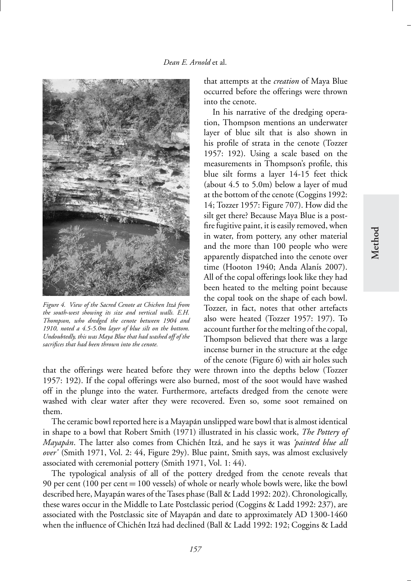

*Figure 4. View of the Sacred Cenote at Chichen Itza from ´ the south-west showing its size and vertical walls. E.H. Thompson, who dredged the cenote between 1904 and 1910, noted a 4.5-5.0m layer of blue silt on the bottom. Undoubtedly, this was Maya Blue that had washed off of the sacrifices that had been thrown into the cenote.*

that attempts at the *creation* of Maya Blue occurred before the offerings were thrown into the cenote.

In his narrative of the dredging operation, Thompson mentions an underwater layer of blue silt that is also shown in his profile of strata in the cenote (Tozzer 1957: 192). Using a scale based on the measurements in Thompson's profile, this blue silt forms a layer 14-15 feet thick (about 4.5 to 5.0m) below a layer of mud at the bottom of the cenote (Coggins 1992: 14; Tozzer 1957: Figure 707). How did the silt get there? Because Maya Blue is a postfire fugitive paint, it is easily removed, when in water, from pottery, any other material and the more than 100 people who were apparently dispatched into the cenote over time (Hooton 1940; Anda Alanís 2007). All of the copal offerings look like they had been heated to the melting point because the copal took on the shape of each bowl. Tozzer, in fact, notes that other artefacts also were heated (Tozzer 1957: 197). To account further for the melting of the copal, Thompson believed that there was a large incense burner in the structure at the edge of the cenote (Figure 6) with air holes such

that the offerings were heated before they were thrown into the depths below (Tozzer 1957: 192). If the copal offerings were also burned, most of the soot would have washed off in the plunge into the water. Furthermore, artefacts dredged from the cenote were washed with clear water after they were recovered. Even so, some soot remained on them.

The ceramic bowl reported here is a Mayapan unslipped ware bowl that is almost identical ´ in shape to a bowl that Robert Smith (1971) illustrated in his classic work, *The Pottery of Mayapán*. The latter also comes from Chichén Itzá, and he says it was 'painted blue all *over'* (Smith 1971, Vol. 2: 44, Figure 29y). Blue paint, Smith says, was almost exclusively associated with ceremonial pottery (Smith 1971, Vol. 1: 44).

The typological analysis of all of the pottery dredged from the cenote reveals that 90 per cent (100 per cent = 100 vessels) of whole or nearly whole bowls were, like the bowl described here, Mayapán wares of the Tases phase (Ball & Ladd 1992: 202). Chronologically, these wares occur in the Middle to Late Postclassic period (Coggins & Ladd 1992: 237), are associated with the Postclassic site of Mayapan and date to approximately AD 1300-1460 ´ when the influence of Chichén Itzá had declined (Ball & Ladd 1992: 192; Coggins & Ladd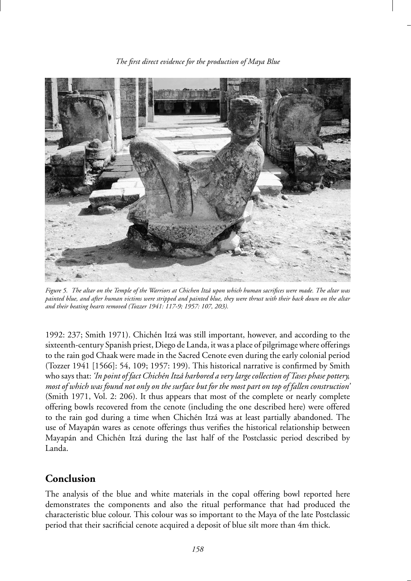

*Figure 5. The altar on the Temple of the Warriors at Chichen Itza upon which human sacrifices were made. The altar was ´ painted blue, and after human victims were stripped and painted blue, they were thrust with their back down on the altar and their beating hearts removed (Tozzer 1941: 117-9; 1957: 107, 203).*

1992: 237; Smith 1971). Chichén Itzá was still important, however, and according to the sixteenth-century Spanish priest, Diego de Landa, it was a place of pilgrimage where offerings to the rain god Chaak were made in the Sacred Cenote even during the early colonial period (Tozzer 1941 [1566]: 54, 109; 1957: 199). This historical narrative is confirmed by Smith who says that: *'In point of fact Chich´en Itza harbored a very large collection of Tases phase pottery, ´ most of which was found not only on the surface but for the most part on top of fallen construction'* (Smith 1971, Vol. 2: 206). It thus appears that most of the complete or nearly complete offering bowls recovered from the cenote (including the one described here) were offered to the rain god during a time when Chichén Itzá was at least partially abandoned. The use of Mayapán wares as cenote offerings thus verifies the historical relationship between Mayapán and Chichén Itzá during the last half of the Postclassic period described by Landa.

# **Conclusion**

The analysis of the blue and white materials in the copal offering bowl reported here demonstrates the components and also the ritual performance that had produced the characteristic blue colour. This colour was so important to the Maya of the late Postclassic period that their sacrificial cenote acquired a deposit of blue silt more than 4m thick.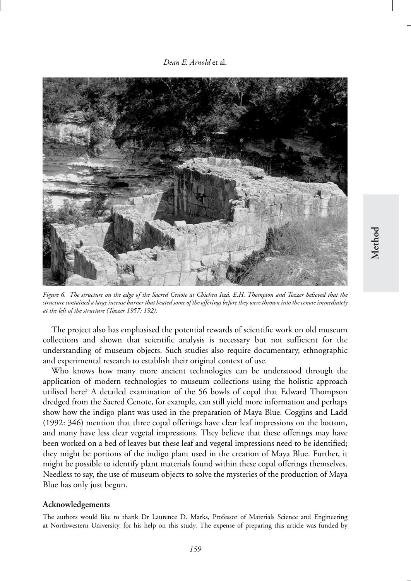*Dean E. Arnold* et al.



*Figure 6. The structure on the edge of the Sacred Cenote at Chichen Itza. E.H. Thompson and Tozzer believed that the ´ structure contained a large incense burner that heated some of the offerings before they were thrown into the cenote immediately at the left of the structure (Tozzer 1957: 192).*

The project also has emphasised the potential rewards of scientific work on old museum collections and shown that scientific analysis is necessary but not sufficient for the understanding of museum objects. Such studies also require documentary, ethnographic and experimental research to establish their original context of use.

Who knows how many more ancient technologies can be understood through the application of modern technologies to museum collections using the holistic approach utilised here? A detailed examination of the 56 bowls of copal that Edward Thompson dredged from the Sacred Cenote, for example, can still yield more information and perhaps show how the indigo plant was used in the preparation of Maya Blue. Coggins and Ladd (1992: 346) mention that three copal offerings have clear leaf impressions on the bottom, and many have less clear vegetal impressions. They believe that these offerings may have been worked on a bed of leaves but these leaf and vegetal impressions need to be identified; they might be portions of the indigo plant used in the creation of Maya Blue. Further, it might be possible to identify plant materials found within these copal offerings themselves. Needless to say, the use of museum objects to solve the mysteries of the production of Maya Blue has only just begun.

#### **Acknowledgements**

The authors would like to thank Dr Laurence D. Marks, Professor of Materials Science and Engineering at Northwestern University, for his help on this study. The expense of preparing this article was funded by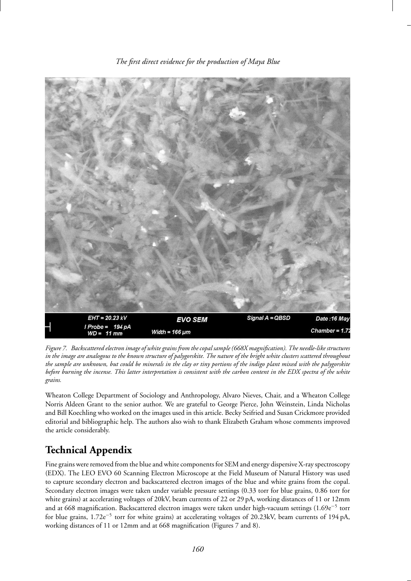

*The first direct evidence for the production of Maya Blue*

*Figure 7. Backscattered electron image of white grains from the copal sample (668X magnification). The needle-like structures in the image are analogous to the known structure of palygorskite. The nature of the bright white clusters scattered throughout the sample are unknown, but could be minerals in the clay or tiny portions of the indigo plant mixed with the palygorskite before burning the incense. This latter interpretation is consistent with the carbon content in the EDX spectra of the white grains.*

Wheaton College Department of Sociology and Anthropology, Alvaro Nieves, Chair, and a Wheaton College Norris Aldeen Grant to the senior author. We are grateful to George Pierce, John Weinstein, Linda Nicholas and Bill Koechling who worked on the images used in this article. Becky Seifried and Susan Crickmore provided editorial and bibliographic help. The authors also wish to thank Elizabeth Graham whose comments improved the article considerably.

# **Technical Appendix**

Fine grains were removed from the blue and white components for SEM and energy dispersive X-ray spectroscopy (EDX). The LEO EVO 60 Scanning Electron Microscope at the Field Museum of Natural History was used to capture secondary electron and backscattered electron images of the blue and white grains from the copal. Secondary electron images were taken under variable pressure settings (0.33 torr for blue grains, 0.86 torr for white grains) at accelerating voltages of 20kV, beam currents of 22 or 29 pA, working distances of 11 or 12mm and at 668 magnification. Backscattered electron images were taken under high-vacuum settings (1.69e−<sup>5</sup> torr for blue grains, 1.72e<sup>-5</sup> torr for white grains) at accelerating voltages of 20.23kV, beam currents of 194 pA, working distances of 11 or 12mm and at 668 magnification (Figures 7 and 8).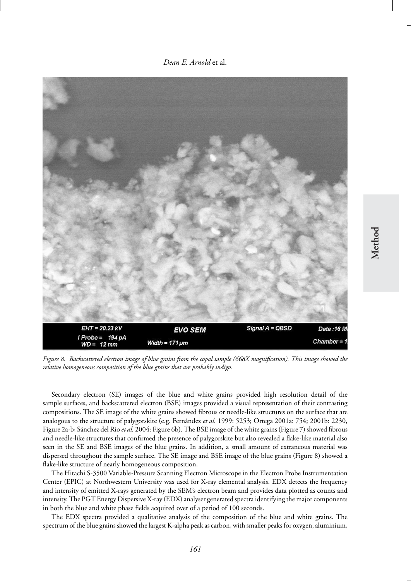*Dean E. Arnold* et al.



*Figure 8. Backscattered electron image of blue grains from the copal sample (668X magnification). This image showed the relative homogeneous composition of the blue grains that are probably indigo.*

Secondary electron (SE) images of the blue and white grains provided high resolution detail of the sample surfaces, and backscattered electron (BSE) images provided a visual representation of their contrasting compositions. The SE image of the white grains showed fibrous or needle-like structures on the surface that are analogous to the structure of palygorskite (e.g. Fernández et al. 1999: 5253; Ortega 2001a: 754; 2001b: 2230, Figure 2a-b; Sánchez del Río et al. 2004: Figure 6b). The BSE image of the white grains (Figure 7) showed fibrous and needle-like structures that confirmed the presence of palygorskite but also revealed a flake-like material also seen in the SE and BSE images of the blue grains. In addition, a small amount of extraneous material was dispersed throughout the sample surface. The SE image and BSE image of the blue grains (Figure 8) showed a flake-like structure of nearly homogeneous composition.

The Hitachi S-3500 Variable-Pressure Scanning Electron Microscope in the Electron Probe Instrumentation Center (EPIC) at Northwestern University was used for X-ray elemental analysis. EDX detects the frequency and intensity of emitted X-rays generated by the SEM's electron beam and provides data plotted as counts and intensity. The PGT Energy Dispersive X-ray (EDX) analyser generated spectra identifying the major components in both the blue and white phase fields acquired over of a period of 100 seconds.

The EDX spectra provided a qualitative analysis of the composition of the blue and white grains. The spectrum of the blue grains showed the largest K-alpha peak as carbon, with smaller peaks for oxygen, aluminium,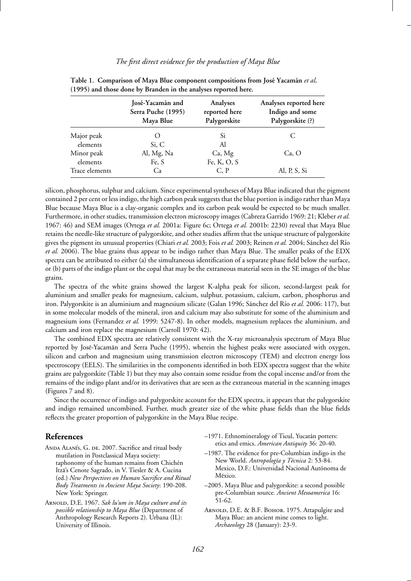#### *The first direct evidence for the production of Maya Blue*

|                        | José-Yacamán and   | Analyses      | Analyses reported here |
|------------------------|--------------------|---------------|------------------------|
|                        | Serra Puche (1995) | reported here | Indigo and some        |
|                        | Maya Blue          | Palygorskite  | Palygorskite (?)       |
| Major peak<br>elements | Si, C              | Si<br>Al      |                        |
| Minor peak             | Al, Mg, Na         | Ca, Mg        | Ca, O                  |
| elements               | Fe, S              | Fe, K, O, S   |                        |
| Trace elements         | Ca                 | C, P          | Al, P, S, Si           |

Table 1. Comparison of Maya Blue component compositions from José Yacamán et al. **(1995) and those done by Branden in the analyses reported here.**

silicon, phosphorus, sulphur and calcium. Since experimental syntheses of Maya Blue indicated that the pigment contained 2 per cent or less indigo, the high carbon peak suggests that the blue portion is indigo rather than Maya Blue because Maya Blue is a clay-organic complex and its carbon peak would be expected to be much smaller. Furthermore, in other studies, transmission electron microscopy images (Cabrera Garrido 1969: 21; Kleber *et al.* 1967: 46) and SEM images (Ortega *et al.* 2001a: Figure 6c; Ortega *et al.* 2001b: 2230) reveal that Maya Blue retains the needle-like structure of palygorskite, and other studies affirm that the unique structure of palygorskite gives the pigment its unusual properties (Chiari *et al.* 2003; Fois *et al.* 2003; Reinen *et al.* 2004; Sánchez del Río *et al.* 2006). The blue grains thus appear to be indigo rather than Maya Blue. The smaller peaks of the EDX spectra can be attributed to either (a) the simultaneous identification of a separate phase field below the surface, or (b) parts of the indigo plant or the copal that may be the extraneous material seen in the SE images of the blue grains.

The spectra of the white grains showed the largest K-alpha peak for silicon, second-largest peak for aluminium and smaller peaks for magnesium, calcium, sulphur, potassium, calcium, carbon, phosphorus and iron. Palygorskite is an aluminium and magnesium silicate (Galan 1996; Sánchez del Río et al. 2006: 117), but in some molecular models of the mineral, iron and calcium may also substitute for some of the aluminium and magnesium ions (Fernandez *et al.* 1999: 5247-8). In other models, magnesium replaces the aluminium, and calcium and iron replace the magnesium (Carroll 1970: 42).

The combined EDX spectra are relatively consistent with the X-ray microanalysis spectrum of Maya Blue reported by José-Yacamán and Serra Puche (1995), wherein the highest peaks were associated with oxygen, silicon and carbon and magnesium using transmission electron microscopy (TEM) and electron energy loss spectroscopy (EELS). The similarities in the components identified in both EDX spectra suggest that the white grains are palygorskite (Table 1) but they may also contain some residue from the copal incense and/or from the remains of the indigo plant and/or its derivatives that are seen as the extraneous material in the scanning images (Figures 7 and 8).

Since the occurrence of indigo and palygorskite account for the EDX spectra, it appears that the palygorskite and indigo remained uncombined. Further, much greater size of the white phase fields than the blue fields reflects the greater proportion of palygorskite in the Maya Blue recipe.

## **References**

- ANDA ALANIS, G. DE. 2007. Sacrifice and ritual body mutilation in Postclassical Maya society: taphonomy of the human remains from Chichén Itza's Cenote Sagrado, in V. Tiesler & A. Cucina ´ (ed.) *New Perspectives on Human Sacrifice and Ritual Body Treatments in Ancient Maya Society*: 190-208. New York: Springer.
- Arnold, D.E. 1967. *Sak lu'um in Maya culture and its possible relationship to Maya Blue* (Department of Anthropology Research Reports 2). Urbana (IL): University of Illinois.
- –1971. Ethnomineralogy of Ticul, Yucatan potters: ´ etics and emics. *American Antiquity* 36: 20-40.
- –1987. The evidence for pre-Columbian indigo in the New World. *Antropología* y Técnica 2: 53-84. Mexico, D.F.: Universidad Nacional Autónoma de México.
- –2005. Maya Blue and palygorskite: a second possible pre-Columbian source*. Ancient Mesoamerica* 16: 51-62.
- ARNOLD, D.E. & B.F. Вонов. 1975. Attapulgite and Maya Blue: an ancient mine comes to light. *Archaeology* 28 (January): 23-9.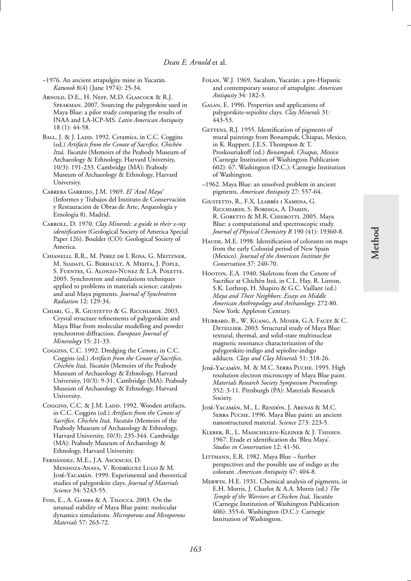- –1976. An ancient attapulgite mine in Yucatan. ´ *Katunob* 8(4) (June 1974): 25-34.
- Arnold, D.E., H. Neff, M.D. Glascock & R.J. Speakman. 2007. Sourcing the palygorskite used in Maya Blue: a pilot study comparing the results of INAA and LA-ICP-MS. *Latin American Antiquity* 18 (1): 44-58.
- BALL, J. & J. LADD. 1992. Ceramics, in C.C. Coggins (ed.) *Artifacts from the Cenote of Sacrifice, Chich´en Itzá, Yucatán* (Memoirs of the Peabody Museum of Archaeology & Ethnology, Harvard University, 10/3): 191-233. Cambridge (MA): Peabody Museum of Archaeology & Ethnology, Harvard University.
- Cabrera Garrido, J.M. 1969. *El 'Azul Maya'* (Informes y Trabajos del Instituto de Conservacion´ y Restauración de Obras de Arte, Arqueología y Etnología 8). Madrid.
- Carroll, D. 1970. *Clay Minerals: a guide to their x-ray identification* (Geological Society of America Special Paper 126). Boulder (CO): Geological Society of America.
- Chianelli, R.R., M. Perez de L Rosa, G. Meitzner, M. Siadati, G. Berhault, A. Mehta, J. Pople, S. Fuentes, G. Alonzo-Nunez & L.A. Polette. 2005. Synchrotron and simulations techniques applied to problems in materials science: catalysts and azul Maya pigments. *Journal of Synchrotron Radiation* 12: 129-34.
- Chiari, G., R. Giustetto & G. Ricchiardi. 2003. Crystal structure refinements of palygorskite and Maya Blue from molecular modelling and powder synchrotron diffraction. *European Journal of Mineralogy* 15: 21-33.
- Coggins, C.C. 1992. Dredging the Cenote, in C.C. Coggins (ed.) *Artifacts from the Cenote of Sacrifice, Chichén Itzá, Yucatán* (Memoirs of the Peabody Museum of Archaeology & Ethnology, Harvard University, 10/3): 9-31. Cambridge (MA): Peabody Museum of Archaeology & Ethnology, Harvard University.
- Coggins, C.C. & J.M. Ladd. 1992. Wooden artifacts, in C.C. Coggins (ed.) *Artifacts from the Cenote of Sacrifice, Chichén Itzá, Yucatán* (Memoirs of the Peabody Museum of Archaeology & Ethnology, Harvard University, 10/3): 235-344. Cambridge (MA): Peabody Museum of Archaeology & Ethnology, Harvard University.
- FERNÁNDEZ, M.E., J.A. ASCENCIO, D. MENDOZA-ANAYA, V. RODRÍGUEZ LUGO & M. José-YACAMÁN. 1999. Experimental and theoretical studies of palygorskite clays. *Journal of Materials Science* 34: 5243-55.
- Fois, E., A. Gamba & A. Tilocca. 2003. On the unusual stability of Maya Blue paint: molecular dynamics simulations. *Microporous and Mesoporous Materials* 57: 263-72.
- FOLAN, W.J. 1969. Sacalum, Yucatán: a pre-Hispanic and contemporary source of attapulgite. *American Antiquity* 34: 182-3.
- Galan, E. 1996. Properties and applications of palygorskite-sepiolite clays. *Clay Minerals* 31: 443-53.
- GETTENS, R.J. 1955. Identification of pigments of mural paintings from Bonampak, Chiapas, Mexico, in K. Ruppert, J.E.S. Thompson & T. Proskouriakoff (ed.) *Bonampak, Chiapas, Mexico* (Carnegie Institution of Washington Publication 602): 67. Washington (D.C.): Carnegie Institution of Washington.
- –1962. Maya Blue: an unsolved problem in ancient pigments. *American Antiquity* 27: 557-64.
- GIUSTETTO, R., F.X. LLABRÉS I XAMENA, G. Ricchiardi, S. Bordiga, A. Damin, R. GOBETTO & M.R. CHIEROTTI. 2005. Maya Blue: a computational and spectroscopic study. *Journal of Physical Chemistry B* 190 (41): 19360-8.
- HAUDE, M.E. 1998. Identification of colorants on maps from the early Colonial period of New Spain (Mexico). *Journal of the American Institute for Conservation* 37: 240-70.
- Hooron, E.A. 1940. Skeletons from the Cenote of Sacrifice at Chichén Itzá, in C.L. Hay, R. Linton, S.K. Lothrop, H. Shapiro & G.C. Vaillant (ed.) *Maya and Their Neighbors: Essays on Middle American Anthropology and Archaeology*: 272-80. New York: Appleton Century.
- Hubbard, B., W. Kuang, A. Moser, G.A. Facey & C. DETELLIER. 2003. Structural study of Maya Blue: textural, thermal, and solid-state multinuclear magnetic resonance characterization of the palygorskite-indigo and sepiolite-indigo adducts. *Clays and Clay Minerals* 51: 318-26.
- JOSÉ-YACAMÁN, M. & M.C. SERRA PUCHE. 1995. High resolution electron microscopy of Maya Blue paint. *Materials Research Society Symposium Proceedings* 352: 3-11. Pittsburgh (PA): Materials Research Society.
- JOSÉ-YACAMÁN, M., L. RENDÓN, J. ARENAS & M.C. Serra Puche. 1996. Maya Blue paint: an ancient nanostructured material. *Science* 273: 223-5.
- Kleber, R., L. Masschelein-Kleiner & J. Thissen. 1967. Etude et identification du 'Bleu Maya'. *Studies in Conservation* 12: 41-56.
- Littmann, E.R. 1982. Maya Blue further perspectives and the possible use of indigo as the colorant. *American Antiquity* 47: 404-8.
- Merwin, H.E. 1931. Chemical analysis of pigments, in E.H. Morris, J. Charlot & A.A. Morris (ed.) *The Temple of the Warriors at Chicken Itzá, Yucatán* (Carnegie Institution of Washington Publication 406): 355-6. Washington (D.C.): Carnegie Institution of Washington.